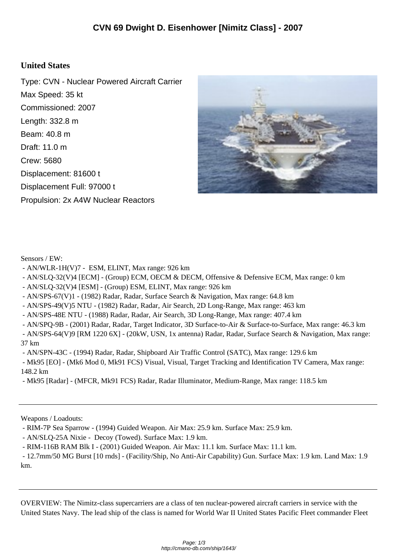## **United States**

Type: CVN - Nuclear Powered Aircraft Carrier Max Speed: 35 kt Commissioned: 2007 Length: 332.8 m Beam: 40.8 m Draft: 11.0 m Crew: 5680 Displacement: 81600 t Displacement Full: 97000 t Propulsion: 2x A4W Nuclear Reactors



Sensors / EW:

- AN/WLR-1H(V)7 ESM, ELINT, Max range: 926 km
- AN/SLQ-32(V)4 [ECM] (Group) ECM, OECM & DECM, Offensive & Defensive ECM, Max range: 0 km
- AN/SLQ-32(V)4 [ESM] (Group) ESM, ELINT, Max range: 926 km
- AN/SPS-67(V)1 (1982) Radar, Radar, Surface Search & Navigation, Max range: 64.8 km
- AN/SPS-49(V)5 NTU (1982) Radar, Radar, Air Search, 2D Long-Range, Max range: 463 km
- AN/SPS-48E NTU (1988) Radar, Radar, Air Search, 3D Long-Range, Max range: 407.4 km

 - AN/SPQ-9B - (2001) Radar, Radar, Target Indicator, 3D Surface-to-Air & Surface-to-Surface, Max range: 46.3 km - AN/SPS-64(V)9 [RM 1220 6X] - (20kW, USN, 1x antenna) Radar, Radar, Surface Search & Navigation, Max range: 37 km

- AN/SPN-43C - (1994) Radar, Radar, Shipboard Air Traffic Control (SATC), Max range: 129.6 km

 - Mk95 [EO] - (Mk6 Mod 0, Mk91 FCS) Visual, Visual, Target Tracking and Identification TV Camera, Max range: 148.2 km

- Mk95 [Radar] - (MFCR, Mk91 FCS) Radar, Radar Illuminator, Medium-Range, Max range: 118.5 km

Weapons / Loadouts:

- RIM-7P Sea Sparrow - (1994) Guided Weapon. Air Max: 25.9 km. Surface Max: 25.9 km.

- AN/SLQ-25A Nixie - Decoy (Towed). Surface Max: 1.9 km.

- RIM-116B RAM Blk I - (2001) Guided Weapon. Air Max: 11.1 km. Surface Max: 11.1 km.

 - 12.7mm/50 MG Burst [10 rnds] - (Facility/Ship, No Anti-Air Capability) Gun. Surface Max: 1.9 km. Land Max: 1.9 km.

OVERVIEW: The Nimitz-class supercarriers are a class of ten nuclear-powered aircraft carriers in service with the United States Navy. The lead ship of the class is named for World War II United States Pacific Fleet commander Fleet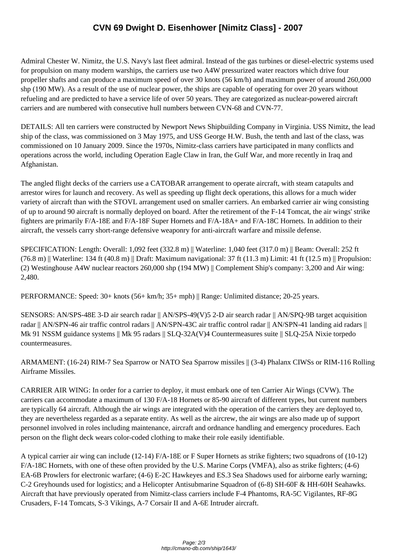Admiral Chester W. Ni[mitz, the U.S. Navy's last fleet admiral. Instead of the gas turbines or dies](http://cmano-db.com/ship/1643/)el-electric systems used for propulsion on many modern warships, the carriers use two A4W pressurized water reactors which drive four propeller shafts and can produce a maximum speed of over 30 knots (56 km/h) and maximum power of around 260,000 shp (190 MW). As a result of the use of nuclear power, the ships are capable of operating for over 20 years without refueling and are predicted to have a service life of over 50 years. They are categorized as nuclear-powered aircraft carriers and are numbered with consecutive hull numbers between CVN-68 and CVN-77.

DETAILS: All ten carriers were constructed by Newport News Shipbuilding Company in Virginia. USS Nimitz, the lead ship of the class, was commissioned on 3 May 1975, and USS George H.W. Bush, the tenth and last of the class, was commissioned on 10 January 2009. Since the 1970s, Nimitz-class carriers have participated in many conflicts and operations across the world, including Operation Eagle Claw in Iran, the Gulf War, and more recently in Iraq and Afghanistan.

The angled flight decks of the carriers use a CATOBAR arrangement to operate aircraft, with steam catapults and arrestor wires for launch and recovery. As well as speeding up flight deck operations, this allows for a much wider variety of aircraft than with the STOVL arrangement used on smaller carriers. An embarked carrier air wing consisting of up to around 90 aircraft is normally deployed on board. After the retirement of the F-14 Tomcat, the air wings' strike fighters are primarily F/A-18E and F/A-18F Super Hornets and F/A-18A+ and F/A-18C Hornets. In addition to their aircraft, the vessels carry short-range defensive weaponry for anti-aircraft warfare and missile defense.

SPECIFICATION: Length: Overall: 1,092 feet (332.8 m) || Waterline: 1,040 feet (317.0 m) || Beam: Overall: 252 ft  $(76.8 \text{ m})$  || Waterline: 134 ft (40.8 m) || Draft: Maximum navigational: 37 ft (11.3 m) Limit: 41 ft (12.5 m) || Propulsion: (2) Westinghouse A4W nuclear reactors 260,000 shp (194 MW) || Complement Ship's company: 3,200 and Air wing: 2,480.

PERFORMANCE: Speed: 30+ knots (56+ km/h; 35+ mph) || Range: Unlimited distance; 20-25 years.

SENSORS: AN/SPS-48E 3-D air search radar || AN/SPS-49(V)5 2-D air search radar || AN/SPQ-9B target acquisition radar || AN/SPN-46 air traffic control radars || AN/SPN-43C air traffic control radar || AN/SPN-41 landing aid radars || Mk 91 NSSM guidance systems || Mk 95 radars || SLQ-32A(V)4 Countermeasures suite || SLQ-25A Nixie torpedo countermeasures.

ARMAMENT: (16-24) RIM-7 Sea Sparrow or NATO Sea Sparrow missiles || (3-4) Phalanx CIWSs or RIM-116 Rolling Airframe Missiles.

CARRIER AIR WING: In order for a carrier to deploy, it must embark one of ten Carrier Air Wings (CVW). The carriers can accommodate a maximum of 130 F/A-18 Hornets or 85-90 aircraft of different types, but current numbers are typically 64 aircraft. Although the air wings are integrated with the operation of the carriers they are deployed to, they are nevertheless regarded as a separate entity. As well as the aircrew, the air wings are also made up of support personnel involved in roles including maintenance, aircraft and ordnance handling and emergency procedures. Each person on the flight deck wears color-coded clothing to make their role easily identifiable.

A typical carrier air wing can include (12-14) F/A-18E or F Super Hornets as strike fighters; two squadrons of (10-12) F/A-18C Hornets, with one of these often provided by the U.S. Marine Corps (VMFA), also as strike fighters; (4-6) EA-6B Prowlers for electronic warfare; (4-6) E-2C Hawkeyes and ES.3 Sea Shadows used for airborne early warning; C-2 Greyhounds used for logistics; and a Helicopter Antisubmarine Squadron of (6-8) SH-60F & HH-60H Seahawks. Aircraft that have previously operated from Nimitz-class carriers include F-4 Phantoms, RA-5C Vigilantes, RF-8G Crusaders, F-14 Tomcats, S-3 Vikings, A-7 Corsair II and A-6E Intruder aircraft.